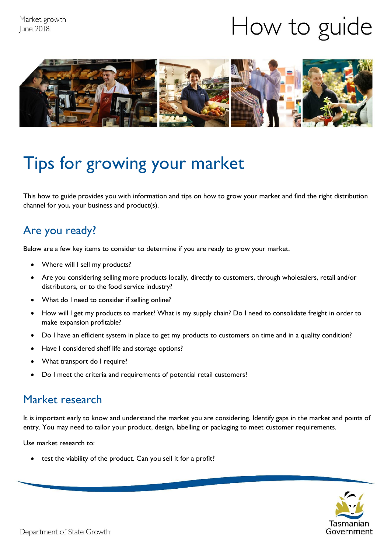# How to guide



## Tips for growing your market

This how to guide provides you with information and tips on how to grow your market and find the right distribution channel for you, your business and product(s).

#### Are you ready?

Below are a few key items to consider to determine if you are ready to grow your market.

- Where will I sell my products?
- Are you considering selling more products locally, directly to customers, through wholesalers, retail and/or distributors, or to the food service industry?
- What do I need to consider if selling online?
- How will I get my products to market? What is my supply chain? Do I need to consolidate freight in order to make expansion profitable?
- Do I have an efficient system in place to get my products to customers on time and in a quality condition?
- Have I considered shelf life and storage options?
- What transport do I require?
- Do I meet the criteria and requirements of potential retail customers?

#### Market research

It is important early to know and understand the market you are considering. Identify gaps in the market and points of entry. You may need to tailor your product, design, labelling or packaging to meet customer requirements.

Use market research to:

test the viability of the product. Can you sell it for a profit?

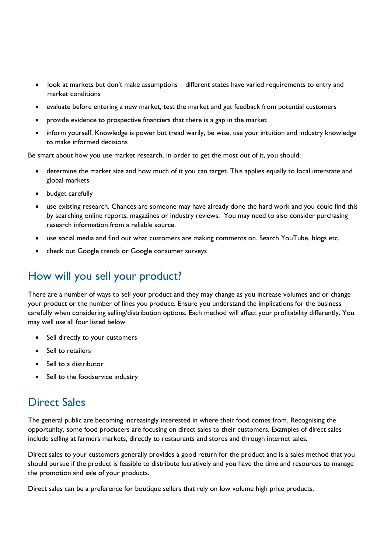- look at markets but don't make assumptions different states have varied requirements to entry and market conditions
- evaluate before entering a new market, test the market and get feedback from potential customers
- provide evidence to prospective financiers that there is a gap in the market
- inform yourself. Knowledge is power but tread warily, be wise, use your intuition and industry knowledge to make informed decisions

Be smart about how you use market research. In order to get the most out of it, you should:

- determine the market size and how much of it you can target. This applies equally to local interstate and global markets
- budget carefully
- use existing research. Chances are someone may have already done the hard work and you could find this by searching online reports, magazines or industry reviews. You may need to also consider purchasing research information from a reliable source.
- use social media and find out what customers are making comments on. Search YouTube, blogs etc.
- check out Google trends or Google consumer surveys

#### How will you sell your product?

There are a number of ways to sell your product and they may change as you increase volumes and or change your product or the number of lines you produce. Ensure you understand the implications for the business carefully when considering selling/distribution options. Each method will affect your profitability differently. You may well use all four listed below.

- Sell directly to your customers
- Sell to retailers
- Sell to a distributor
- Sell to the foodservice industry

#### Direct Sales

The general public are becoming increasingly interested in where their food comes from. Recognising the opportunity, some food producers are focusing on direct sales to their customers. Examples of direct sales include selling at farmers markets, directly to restaurants and stores and through internet sales.

Direct sales to your customers generally provides a good return for the product and is a sales method that you should pursue if the product is feasible to distribute lucratively and you have the time and resources to manage the promotion and sale of your products.

Direct sales can be a preference for boutique sellers that rely on low volume high price products.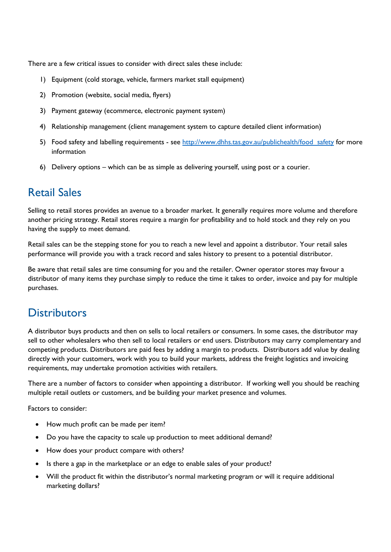There are a few critical issues to consider with direct sales these include:

- 1) Equipment (cold storage, vehicle, farmers market stall equipment)
- 2) Promotion (website, social media, flyers)
- 3) Payment gateway (ecommerce, electronic payment system)
- 4) Relationship management (client management system to capture detailed client information)
- 5) Food safety and labelling requirements see http://www.dhhs.tas.gov.au/publichealth/food safety for more information
- 6) Delivery options which can be as simple as delivering yourself, using post or a courier.

#### Retail Sales

Selling to retail stores provides an avenue to a broader market. It generally requires more volume and therefore another pricing strategy. Retail stores require a margin for profitability and to hold stock and they rely on you having the supply to meet demand.

Retail sales can be the stepping stone for you to reach a new level and appoint a distributor. Your retail sales performance will provide you with a track record and sales history to present to a potential distributor.

Be aware that retail sales are time consuming for you and the retailer. Owner operator stores may favour a distributor of many items they purchase simply to reduce the time it takes to order, invoice and pay for multiple purchases.

#### **Distributors**

A distributor buys products and then on sells to local retailers or consumers. In some cases, the distributor may sell to other wholesalers who then sell to local retailers or end users. Distributors may carry complementary and competing products. Distributors are paid fees by adding a margin to products. Distributors add value by dealing directly with your customers, work with you to build your markets, address the freight logistics and invoicing requirements, may undertake promotion activities with retailers.

There are a number of factors to consider when appointing a distributor. If working well you should be reaching multiple retail outlets or customers, and be building your market presence and volumes.

Factors to consider:

- How much profit can be made per item?
- Do you have the capacity to scale up production to meet additional demand?
- How does your product compare with others?
- Is there a gap in the marketplace or an edge to enable sales of your product?
- Will the product fit within the distributor's normal marketing program or will it require additional marketing dollars?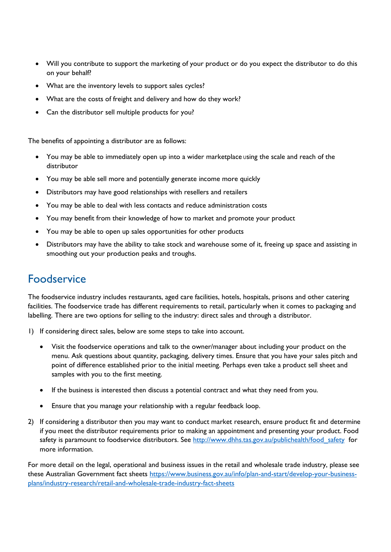- Will you contribute to support the marketing of your product or do you expect the distributor to do this on your behalf?
- What are the inventory levels to support sales cycles?
- What are the costs of freight and delivery and how do they work?
- Can the distributor sell multiple products for you?

The benefits of appointing a distributor are as follows:

- You may be able to immediately open up into a wider marketplace using the scale and reach of the distributor
- You may be able sell more and potentially generate income more quickly
- Distributors may have good relationships with resellers and retailers
- You may be able to deal with less contacts and reduce administration costs
- You may benefit from their knowledge of how to market and promote your product
- You may be able to open up sales opportunities for other products
- Distributors may have the ability to take stock and warehouse some of it, freeing up space and assisting in smoothing out your production peaks and troughs.

#### Foodservice

The foodservice industry includes restaurants, aged care facilities, hotels, hospitals, prisons and other catering facilities. The foodservice trade has different requirements to retail, particularly when it comes to packaging and labelling. There are two options for selling to the industry: direct sales and through a distributor.

- 1) If considering direct sales, below are some steps to take into account.
	- Visit the foodservice operations and talk to the owner/manager about including your product on the menu. Ask questions about quantity, packaging, delivery times. Ensure that you have your sales pitch and point of difference established prior to the initial meeting. Perhaps even take a product sell sheet and samples with you to the first meeting.
	- If the business is interested then discuss a potential contract and what they need from you.
	- Ensure that you manage your relationship with a regular feedback loop.
- 2) If considering a distributor then you may want to conduct market research, ensure product fit and determine if you meet the distributor requirements prior to making an appointment and presenting your product. Food safety is paramount to foodservice distributors. See [http://www.dhhs.tas.gov.au/publichealth/food\\_safety](http://www.dhhs.tas.gov.au/publichealth/food_safety) for more information.

For more detail on the legal, operational and business issues in the retail and wholesale trade industry, please see these Australian Government fact sheets [https://www.business.gov.au/info/plan-and-start/develop-your-business](https://www.business.gov.au/info/plan-and-start/develop-your-business-plans/industry-research/retail-and-wholesale-trade-industry-fact-sheets)[plans/industry-research/retail-and-wholesale-trade-industry-fact-sheets](https://www.business.gov.au/info/plan-and-start/develop-your-business-plans/industry-research/retail-and-wholesale-trade-industry-fact-sheets)